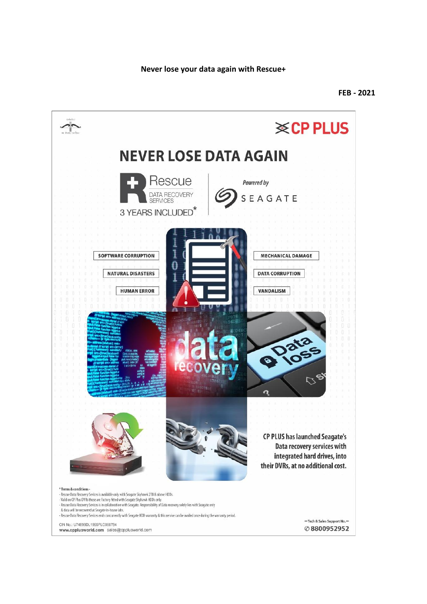**Never lose your data again with Rescue+**